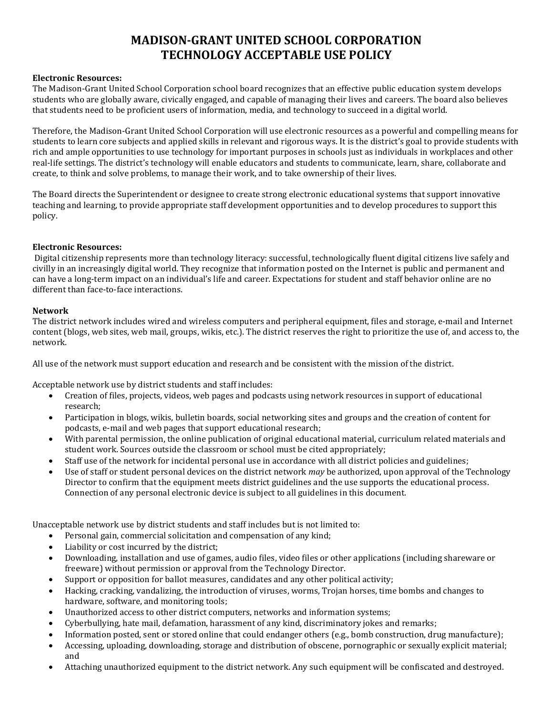# **MADISON-GRANT UNITED SCHOOL CORPORATION TECHNOLOGY ACCEPTABLE USE POLICY**

#### **Electronic Resources:**

The Madison-Grant United School Corporation school board recognizes that an effective public education system develops students who are globally aware, civically engaged, and capable of managing their lives and careers. The board also believes that students need to be proficient users of information, media, and technology to succeed in a digital world.

Therefore, the Madison-Grant United School Corporation will use electronic resources as a powerful and compelling means for students to learn core subjects and applied skills in relevant and rigorous ways. It is the district's goal to provide students with rich and ample opportunities to use technology for important purposes in schools just as individuals in workplaces and other real-life settings. The district's technology will enable educators and students to communicate, learn, share, collaborate and create, to think and solve problems, to manage their work, and to take ownership of their lives.

The Board directs the Superintendent or designee to create strong electronic educational systems that support innovative teaching and learning, to provide appropriate staff development opportunities and to develop procedures to support this policy.

# **Electronic Resources:**

Digital citizenship represents more than technology literacy: successful, technologically fluent digital citizens live safely and civilly in an increasingly digital world. They recognize that information posted on the Internet is public and permanent and can have a long-term impact on an individual's life and career. Expectations for student and staff behavior online are no different than face-to-face interactions.

# **Network**

The district network includes wired and wireless computers and peripheral equipment, files and storage, e-mail and Internet content (blogs, web sites, web mail, groups, wikis, etc.). The district reserves the right to prioritize the use of, and access to, the network.

All use of the network must support education and research and be consistent with the mission of the district.

Acceptable network use by district students and staff includes:<br>• Creation of files projects videos web pages and podca

- Creation of files, projects, videos, web pages and podcasts using network resources in support of educational research;
- Participation in blogs, wikis, bulletin boards, social networking sites and groups and the creation of content for podcasts, e-mail and web pages that support educational research;
- With parental permission, the online publication of original educational material, curriculum related materials and student work. Sources outside the classroom or school must be cited appropriately;
- Staff use of the network for incidental personal use in accordance with all district policies and guidelines;
- Use of staff or student personal devices on the district network *may* be authorized, upon approval of the Technology Director to confirm that the equipment meets district guidelines and the use supports the educational process. Connection of any personal electronic device is subject to all guidelines in this document.

Unacceptable network use by district students and staff includes but is not limited to:<br>• Personal gain. commercial solicitation and compensation of any kind:

- Personal gain, commercial solicitation and compensation of any kind;
- Liability or cost incurred by the district;
- Downloading, installation and use of games, audio files, video files or other applications (including shareware or freeware) without permission or approval from the Technology Director.
- Support or opposition for ballot measures, candidates and any other political activity;
- Hacking, cracking, vandalizing, the introduction of viruses, worms, Trojan horses, time bombs and changes to hardware, software, and monitoring tools;
- Unauthorized access to other district computers, networks and information systems;
- Cyberbullying, hate mail, defamation, harassment of any kind, discriminatory jokes and remarks;
- Information posted, sent or stored online that could endanger others (e.g., bomb construction, drug manufacture);
- Accessing, uploading, downloading, storage and distribution of obscene, pornographic or sexually explicit material; and
- Attaching unauthorized equipment to the district network. Any such equipment will be confiscated and destroyed.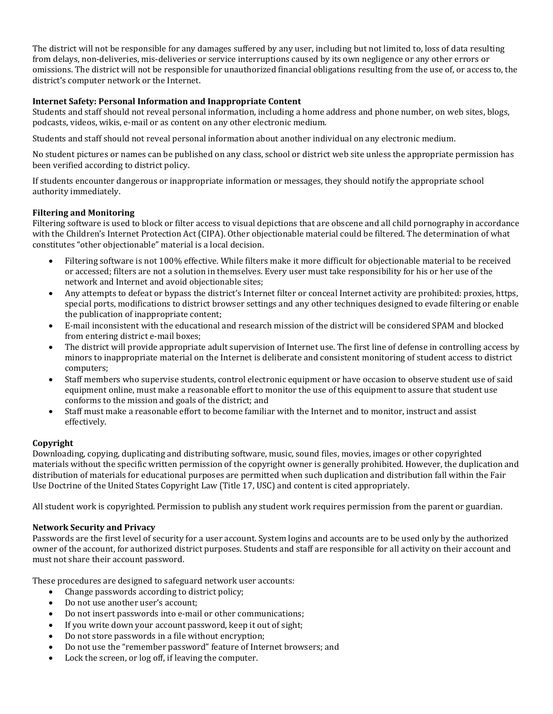The district will not be responsible for any damages suffered by any user, including but not limited to, loss of data resulting from delays, non-deliveries, mis-deliveries or service interruptions caused by its own negligence or any other errors or omissions. The district will not be responsible for unauthorized financial obligations resulting from the use of, or access to, the district's computer network or the Internet.

# **Internet Safety: Personal Information and Inappropriate Content**

Students and staff should not reveal personal information, including a home address and phone number, on web sites, blogs, podcasts, videos, wikis, e-mail or as content on any other electronic medium.

Students and staff should not reveal personal information about another individual on any electronic medium.

No student pictures or names can be published on any class, school or district web site unless the appropriate permission has been verified according to district policy.

If students encounter dangerous or inappropriate information or messages, they should notify the appropriate school authority immediately.

#### **Filtering and Monitoring**

Filtering software is used to block or filter access to visual depictions that are obscene and all child pornography in accordance with the Children's Internet Protection Act (CIPA). Other objectionable material could be filtered. The determination of what constitutes "other objectionable" material is a local decision.

- Filtering software is not 100% effective. While filters make it more difficult for objectionable material to be received or accessed; filters are not a solution in themselves. Every user must take responsibility for his or her use of the network and Internet and avoid objectionable sites;
- Any attempts to defeat or bypass the district's Internet filter or conceal Internet activity are prohibited: proxies, https, special ports, modifications to district browser settings and any other techniques designed to evade filtering or enable the publication of inappropriate content;
- E-mail inconsistent with the educational and research mission of the district will be considered SPAM and blocked from entering district e-mail boxes;
- The district will provide appropriate adult supervision of Internet use. The first line of defense in controlling access by minors to inappropriate material on the Internet is deliberate and consistent monitoring of student access to district computers;
- Staff members who supervise students, control electronic equipment or have occasion to observe student use of said equipment online, must make a reasonable effort to monitor the use of this equipment to assure that student use conforms to the mission and goals of the district; and
- Staff must make a reasonable effort to become familiar with the Internet and to monitor, instruct and assist effectively.

#### **Copyright**

Downloading, copying, duplicating and distributing software, music, sound files, movies, images or other copyrighted materials without the specific written permission of the copyright owner is generally prohibited. However, the duplication and distribution of materials for educational purposes are permitted when such duplication and distribution fall within the Fair Use Doctrine of the United States Copyright Law (Title 17, USC) and content is cited appropriately.

All student work is copyrighted. Permission to publish any student work requires permission from the parent or guardian.

#### **Network Security and Privacy**

Passwords are the first level of security for a user account. System logins and accounts are to be used only by the authorized owner of the account, for authorized district purposes. Students and staff are responsible for all activity on their account and must not share their account password.

These procedures are designed to safeguard network user accounts:

- Change passwords according to district policy;
- Do not use another user's account;
- Do not insert passwords into e-mail or other communications;
- If you write down your account password, keep it out of sight;
- Do not store passwords in a file without encryption;
- Do not use the "remember password" feature of Internet browsers; and
- Lock the screen, or log off, if leaving the computer.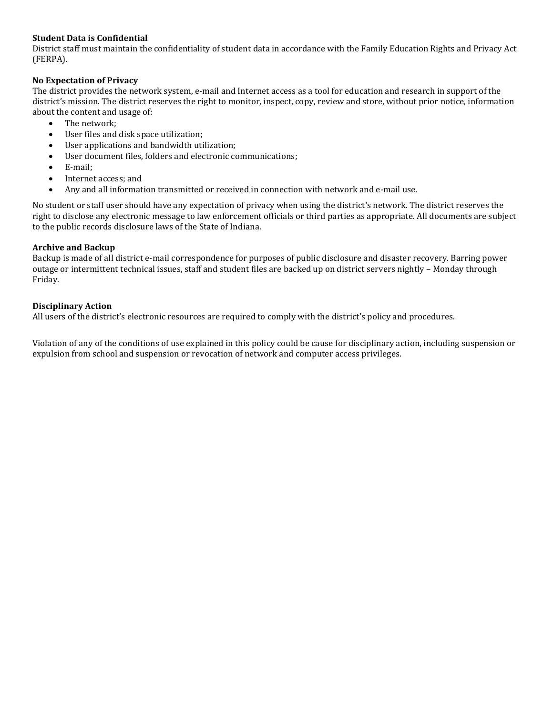# **Student Data is Confidential**

District staff must maintain the confidentiality of student data in accordance with the Family Education Rights and Privacy Act (FERPA).

## **No Expectation of Privacy**

The district provides the network system, e-mail and Internet access as a tool for education and research in support of the district's mission. The district reserves the right to monitor, inspect, copy, review and store, without prior notice, information about the content and usage of:

- The network;
- User files and disk space utilization;
- User applications and bandwidth utilization;
- User document files, folders and electronic communications;
- E-mail;
- Internet access; and
- Any and all information transmitted or received in connection with network and e-mail use.

No student or staff user should have any expectation of privacy when using the district's network. The district reserves the right to disclose any electronic message to law enforcement officials or third parties as appropriate. All documents are subject to the public records disclosure laws of the State of Indiana.

# **Archive and Backup**

Backup is made of all district e-mail correspondence for purposes of public disclosure and disaster recovery. Barring power outage or intermittent technical issues, staff and student files are backed up on district servers nightly – Monday through Friday.

# **Disciplinary Action**

All users of the district's electronic resources are required to comply with the district's policy and procedures.

Violation of any of the conditions of use explained in this policy could be cause for disciplinary action, including suspension or expulsion from school and suspension or revocation of network and computer access privileges.